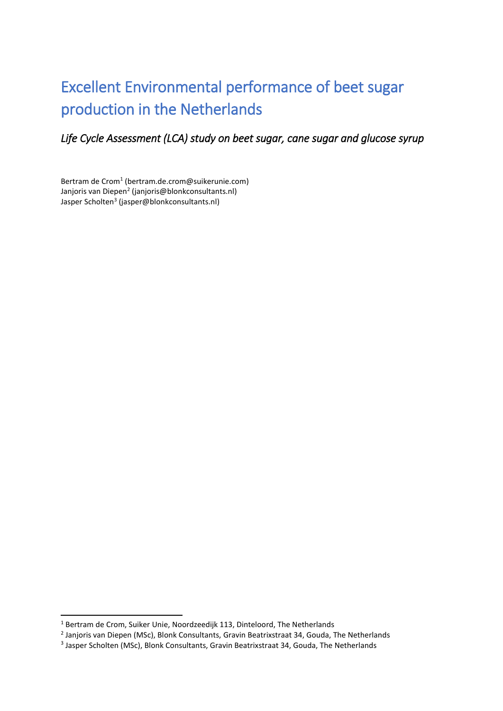# Excellent Environmental performance of beet sugar production in the Netherlands

*Life Cycle Assessment (LCA) study on beet sugar, cane sugar and glucose syrup* 

Bertram de Crom<sup>1</sup> (bertram.de.crom@suikerunie.com) Janjoris van Diepen<sup>2</sup> (janjoris@blonkconsultants.nl) Jasper Scholten<sup>3</sup> (jasper@blonkconsultants.nl)

**.** 

 $<sup>1</sup>$  Bertram de Crom, Suiker Unie, Noordzeedijk 113, Dinteloord, The Netherlands</sup>

<sup>2</sup> Janjoris van Diepen (MSc), Blonk Consultants, Gravin Beatrixstraat 34, Gouda, The Netherlands

<sup>&</sup>lt;sup>3</sup> Jasper Scholten (MSc), Blonk Consultants, Gravin Beatrixstraat 34, Gouda, The Netherlands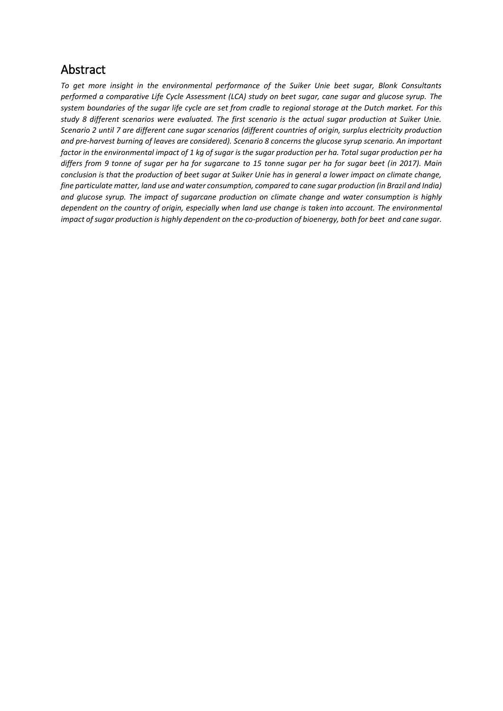### Abstract

*To get more insight in the environmental performance of the Suiker Unie beet sugar, Blonk Consultants performed a comparative Life Cycle Assessment (LCA) study on beet sugar, cane sugar and glucose syrup. The system boundaries of the sugar life cycle are set from cradle to regional storage at the Dutch market. For this study 8 different scenarios were evaluated. The first scenario is the actual sugar production at Suiker Unie. Scenario 2 until 7 are different cane sugar scenarios (different countries of origin, surplus electricity production and pre-harvest burning of leaves are considered). Scenario 8 concerns the glucose syrup scenario. An important factor in the environmental impact of 1 kg of sugar is the sugar production per ha. Total sugar production per ha differs from 9 tonne of sugar per ha for sugarcane to 15 tonne sugar per ha for sugar beet (in 2017). Main conclusion is that the production of beet sugar at Suiker Unie has in general a lower impact on climate change, fine particulate matter, land use and water consumption, compared to cane sugar production (in Brazil and India) and glucose syrup. The impact of sugarcane production on climate change and water consumption is highly dependent on the country of origin, especially when land use change is taken into account. The environmental impact of sugar production is highly dependent on the co-production of bioenergy, both for beet and cane sugar.*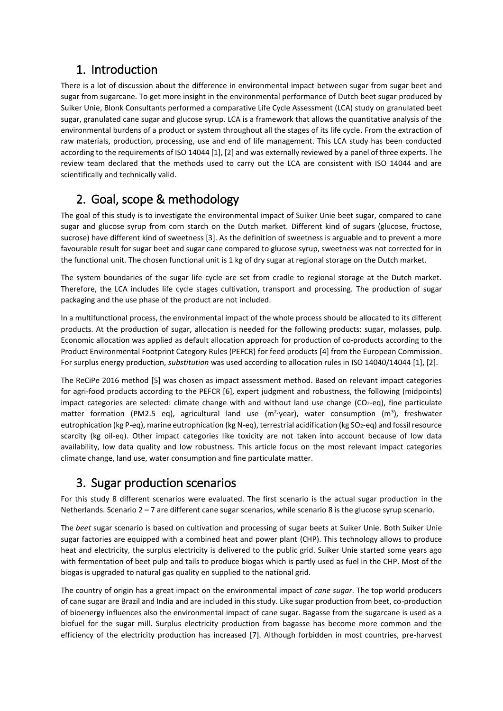### 1. Introduction

There is a lot of discussion about the difference in environmental impact between sugar from sugar beet and sugar from sugarcane. To get more insight in the environmental performance of Dutch beet sugar produced by Suiker Unie, Blonk Consultants performed a comparative Life Cycle Assessment (LCA) study on granulated beet sugar, granulated cane sugar and glucose syrup. LCA is a framework that allows the quantitative analysis of the environmental burdens of a product or system throughout all the stages of its life cycle. From the extraction of raw materials, production, processing, use and end of life management. This LCA study has been conducted according to the requirements of ISO 14044 [1], [2] and was externally reviewed by a panel of three experts. The review team declared that the methods used to carry out the LCA are consistent with ISO 14044 and are scientifically and technically valid.

# 2. Goal, scope & methodology

The goal of this study is to investigate the environmental impact of Suiker Unie beet sugar, compared to cane sugar and glucose syrup from corn starch on the Dutch market. Different kind of sugars (glucose, fructose, sucrose) have different kind of sweetness [3]. As the definition of sweetness is arguable and to prevent a more favourable result for sugar beet and sugar cane compared to glucose syrup, sweetness was not corrected for in the functional unit. The chosen functional unit is 1 kg of dry sugar at regional storage on the Dutch market.

The system boundaries of the sugar life cycle are set from cradle to regional storage at the Dutch market. Therefore, the LCA includes life cycle stages cultivation, transport and processing. The production of sugar packaging and the use phase of the product are not included.

In a multifunctional process, the environmental impact of the whole process should be allocated to its different products. At the production of sugar, allocation is needed for the following products: sugar, molasses, pulp. Economic allocation was applied as default allocation approach for production of co-products according to the Product Environmental Footprint Category Rules (PEFCR) for feed products [4] from the European Commission. For surplus energy production, *substitution* was used according to allocation rules in ISO 14040/14044 [1], [2].

The ReCiPe 2016 method [5] was chosen as impact assessment method. Based on relevant impact categories for agri-food products according to the PEFCR [6], expert judgment and robustness, the following (midpoints) impact categories are selected: climate change with and without land use change  $(CO<sub>2</sub>-eq)$ , fine particulate matter formation (PM2.5 eq), agricultural land use (m<sup>2</sup>·year), water consumption (m<sup>3</sup>), freshwater eutrophication (kg P-eq), marine eutrophication (kg N-eq), terrestrial acidification (kg SO<sub>2</sub>-eq) and fossil resource scarcity (kg oil-eq). Other impact categories like toxicity are not taken into account because of low data availability, low data quality and low robustness. This article focus on the most relevant impact categories climate change, land use, water consumption and fine particulate matter.

### 3. Sugar production scenarios

For this study 8 different scenarios were evaluated. The first scenario is the actual sugar production in the Netherlands. Scenario 2 – 7 are different cane sugar scenarios, while scenario 8 is the glucose syrup scenario.

The *beet* sugar scenario is based on cultivation and processing of sugar beets at Suiker Unie. Both Suiker Unie sugar factories are equipped with a combined heat and power plant (CHP). This technology allows to produce heat and electricity, the surplus electricity is delivered to the public grid. Suiker Unie started some years ago with fermentation of beet pulp and tails to produce biogas which is partly used as fuel in the CHP. Most of the biogas is upgraded to natural gas quality en supplied to the national grid.

The country of origin has a great impact on the environmental impact of *cane sugar*. The top world producers of cane sugar are Brazil and India and are included in this study. Like sugar production from beet, co-production of bioenergy influences also the environmental impact of cane sugar. Bagasse from the sugarcane is used as a biofuel for the sugar mill. Surplus electricity production from bagasse has become more common and the efficiency of the electricity production has increased [7]. Although forbidden in most countries, pre-harvest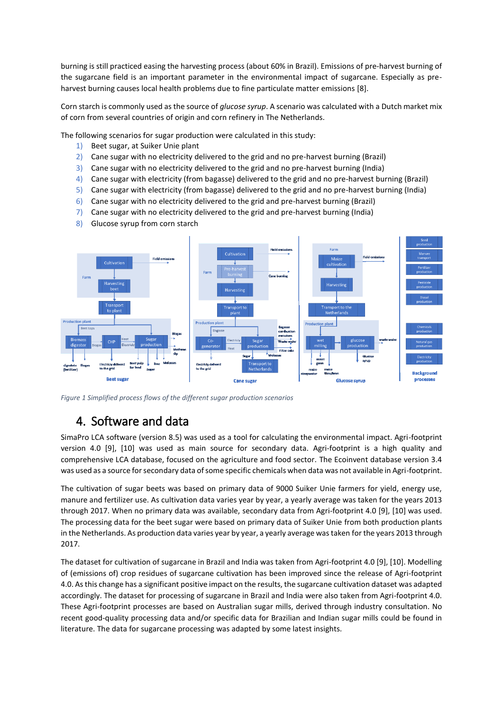burning is still practiced easing the harvesting process (about 60% in Brazil). Emissions of pre-harvest burning of the sugarcane field is an important parameter in the environmental impact of sugarcane. Especially as preharvest burning causes local health problems due to fine particulate matter emissions [8].

Corn starch is commonly used as the source of *glucose syrup*. A scenario was calculated with a Dutch market mix of corn from several countries of origin and corn refinery in The Netherlands.

The following scenarios for sugar production were calculated in this study:

- 1) Beet sugar, at Suiker Unie plant
- 2) Cane sugar with no electricity delivered to the grid and no pre-harvest burning (Brazil)
- 3) Cane sugar with no electricity delivered to the grid and no pre-harvest burning (India)
- 4) Cane sugar with electricity (from bagasse) delivered to the grid and no pre-harvest burning (Brazil)
- 5) Cane sugar with electricity (from bagasse) delivered to the grid and no pre-harvest burning (India)
- 6) Cane sugar with no electricity delivered to the grid and pre-harvest burning (Brazil)
- 7) Cane sugar with no electricity delivered to the grid and pre-harvest burning (India)
- 8) Glucose syrup from corn starch



*Figure 1 Simplified process flows of the different sugar production scenarios*

### 4. Software and data

SimaPro LCA software (version 8.5) was used as a tool for calculating the environmental impact. Agri-footprint version 4.0 [9], [10] was used as main source for secondary data. Agri-footprint is a high quality and comprehensive LCA database, focused on the agriculture and food sector. The Ecoinvent database version 3.4 was used as a source for secondary data of some specific chemicals when data was not available in Agri-footprint.

The cultivation of sugar beets was based on primary data of 9000 Suiker Unie farmers for yield, energy use, manure and fertilizer use. As cultivation data varies year by year, a yearly average was taken for the years 2013 through 2017. When no primary data was available, secondary data from Agri-footprint 4.0 [9], [10] was used. The processing data for the beet sugar were based on primary data of Suiker Unie from both production plants in the Netherlands. As production data varies year by year, a yearly average was taken for the years 2013 through 2017.

The dataset for cultivation of sugarcane in Brazil and India was taken from Agri-footprint 4.0 [9], [10]. Modelling of (emissions of) crop residues of sugarcane cultivation has been improved since the release of Agri-footprint 4.0. As this change has a significant positive impact on the results, the sugarcane cultivation dataset was adapted accordingly. The dataset for processing of sugarcane in Brazil and India were also taken from Agri-footprint 4.0. These Agri-footprint processes are based on Australian sugar mills, derived through industry consultation. No recent good-quality processing data and/or specific data for Brazilian and Indian sugar mills could be found in literature. The data for sugarcane processing was adapted by some latest insights.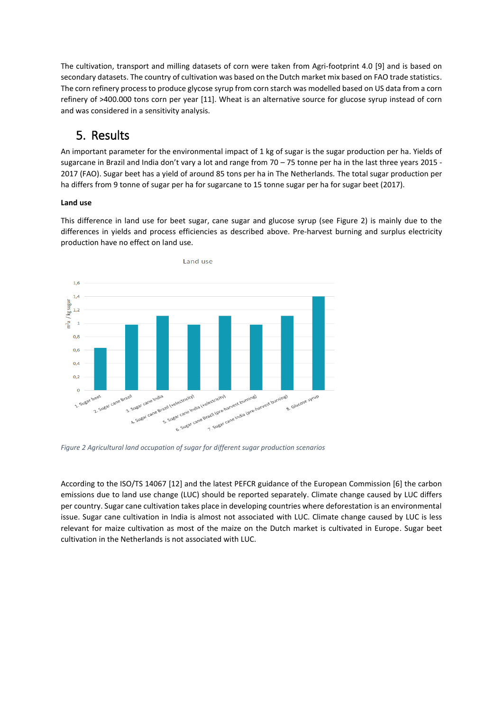The cultivation, transport and milling datasets of corn were taken from Agri-footprint 4.0 [9] and is based on secondary datasets. The country of cultivation was based on the Dutch market mix based on FAO trade statistics. The corn refinery process to produce glycose syrup from corn starch was modelled based on US data from a corn refinery of >400.000 tons corn per year [11]. Wheat is an alternative source for glucose syrup instead of corn and was considered in a sensitivity analysis.

## 5. Results

An important parameter for the environmental impact of 1 kg of sugar is the sugar production per ha. Yields of sugarcane in Brazil and India don't vary a lot and range from 70 – 75 tonne per ha in the last three years 2015 - 2017 (FAO). Sugar beet has a yield of around 85 tons per ha in The Netherlands. The total sugar production per ha differs from 9 tonne of sugar per ha for sugarcane to 15 tonne sugar per ha for sugar beet (2017).

### **Land use**

This difference in land use for beet sugar, cane sugar and glucose syrup (see [Figure 2\)](#page-4-0) is mainly due to the differences in yields and process efficiencies as described above. Pre-harvest burning and surplus electricity production have no effect on land use.



<span id="page-4-0"></span>*Figure 2 Agricultural land occupation of sugar for different sugar production scenarios*

According to the ISO/TS 14067 [12] and the latest PEFCR guidance of the European Commission [6] the carbon emissions due to land use change (LUC) should be reported separately. Climate change caused by LUC differs per country. Sugar cane cultivation takes place in developing countries where deforestation is an environmental issue. Sugar cane cultivation in India is almost not associated with LUC. Climate change caused by LUC is less relevant for maize cultivation as most of the maize on the Dutch market is cultivated in Europe. Sugar beet cultivation in the Netherlands is not associated with LUC.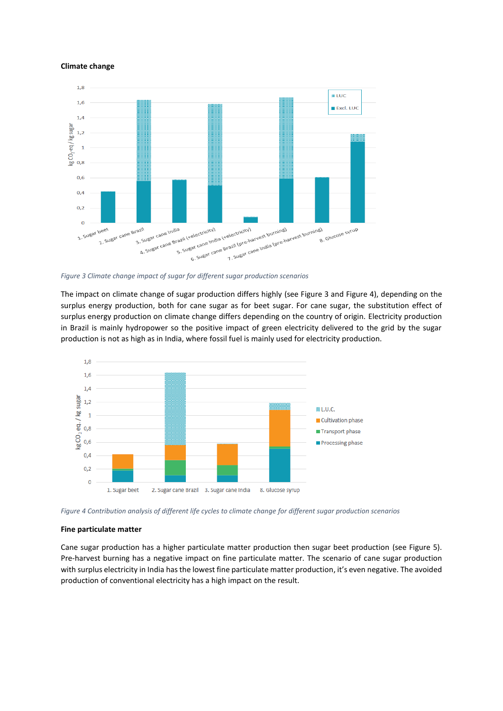#### **Climate change**



<span id="page-5-0"></span>*Figure 3 Climate change impact of sugar for different sugar production scenarios*

The impact on climate change of sugar production differs highly (see [Figure 3](#page-5-0) an[d Figure 4\)](#page-5-1), depending on the surplus energy production, both for cane sugar as for beet sugar. For cane sugar, the substitution effect of surplus energy production on climate change differs depending on the country of origin. Electricity production in Brazil is mainly hydropower so the positive impact of green electricity delivered to the grid by the sugar production is not as high as in India, where fossil fuel is mainly used for electricity production.



<span id="page-5-1"></span>*Figure 4 Contribution analysis of different life cycles to climate change for different sugar production scenarios*

### **Fine particulate matter**

Cane sugar production has a higher particulate matter production then sugar beet production (see [Figure 5\)](#page-6-0). Pre-harvest burning has a negative impact on fine particulate matter. The scenario of cane sugar production with surplus electricity in India has the lowest fine particulate matter production, it's even negative. The avoided production of conventional electricity has a high impact on the result.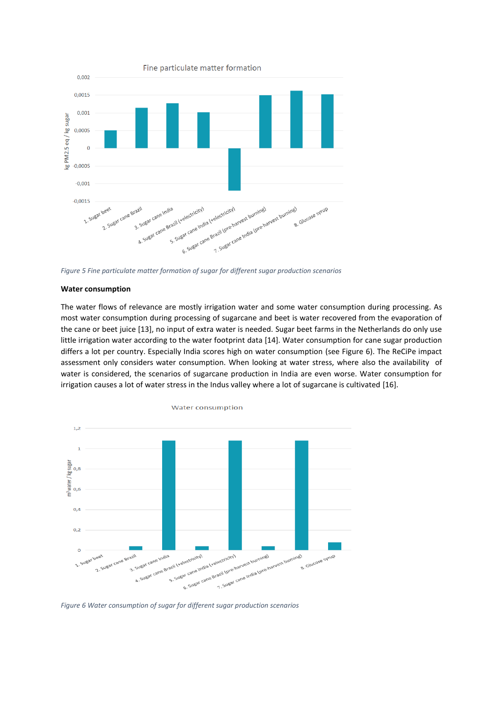

<span id="page-6-0"></span>*Figure 5 Fine particulate matter formation of sugar for different sugar production scenarios*

#### **Water consumption**

The water flows of relevance are mostly irrigation water and some water consumption during processing. As most water consumption during processing of sugarcane and beet is water recovered from the evaporation of the cane or beet juice [13], no input of extra water is needed. Sugar beet farms in the Netherlands do only use little irrigation water according to the water footprint data [14]. Water consumption for cane sugar production differs a lot per country. Especially India scores high on water consumption (see [Figure 6\)](#page-6-1). The ReCiPe impact assessment only considers water consumption. When looking at water stress, where also the availability of water is considered, the scenarios of sugarcane production in India are even worse. Water consumption for irrigation causes a lot of water stress in the Indus valley where a lot of sugarcane is cultivated [16].



<span id="page-6-1"></span>*Figure 6 Water consumption of sugar for different sugar production scenarios*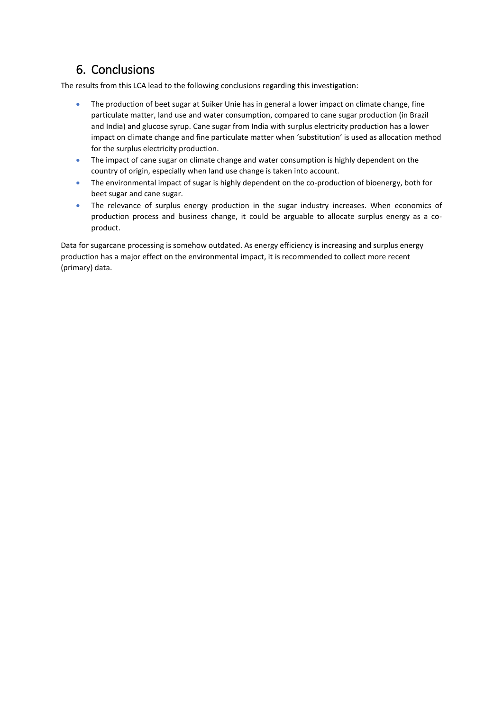# 6. Conclusions

The results from this LCA lead to the following conclusions regarding this investigation:

- The production of beet sugar at Suiker Unie has in general a lower impact on climate change, fine particulate matter, land use and water consumption, compared to cane sugar production (in Brazil and India) and glucose syrup. Cane sugar from India with surplus electricity production has a lower impact on climate change and fine particulate matter when 'substitution' is used as allocation method for the surplus electricity production.
- The impact of cane sugar on climate change and water consumption is highly dependent on the country of origin, especially when land use change is taken into account.
- The environmental impact of sugar is highly dependent on the co-production of bioenergy, both for beet sugar and cane sugar.
- The relevance of surplus energy production in the sugar industry increases. When economics of production process and business change, it could be arguable to allocate surplus energy as a coproduct.

Data for sugarcane processing is somehow outdated. As energy efficiency is increasing and surplus energy production has a major effect on the environmental impact, it is recommended to collect more recent (primary) data.